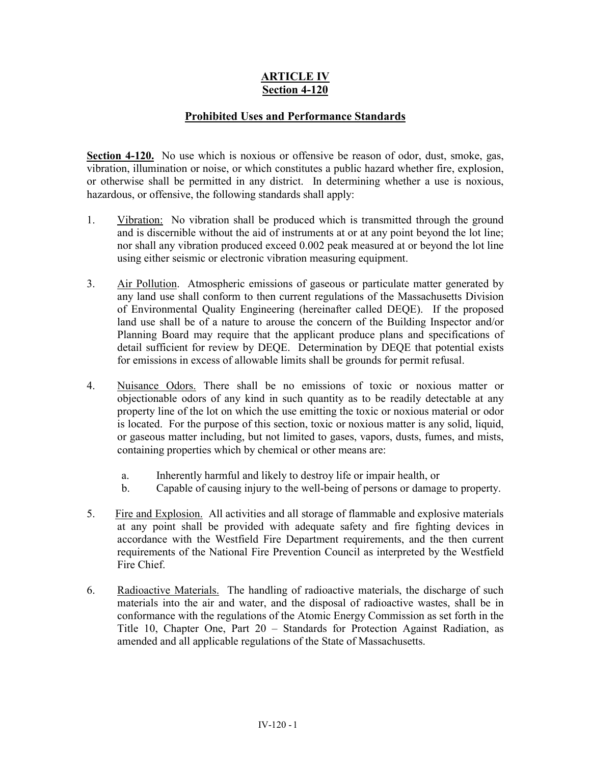## **ARTICLE IV Section 4-120**

## **Prohibited Uses and Performance Standards**

**Section 4-120.** No use which is noxious or offensive be reason of odor, dust, smoke, gas, vibration, illumination or noise, or which constitutes a public hazard whether fire, explosion, or otherwise shall be permitted in any district. In determining whether a use is noxious, hazardous, or offensive, the following standards shall apply:

- 1. Vibration: No vibration shall be produced which is transmitted through the ground and is discernible without the aid of instruments at or at any point beyond the lot line; nor shall any vibration produced exceed 0.002 peak measured at or beyond the lot line using either seismic or electronic vibration measuring equipment.
- 3. Air Pollution. Atmospheric emissions of gaseous or particulate matter generated by any land use shall conform to then current regulations of the Massachusetts Division of Environmental Quality Engineering (hereinafter called DEQE). If the proposed land use shall be of a nature to arouse the concern of the Building Inspector and/or Planning Board may require that the applicant produce plans and specifications of detail sufficient for review by DEQE. Determination by DEQE that potential exists for emissions in excess of allowable limits shall be grounds for permit refusal.
- 4. Nuisance Odors. There shall be no emissions of toxic or noxious matter or objectionable odors of any kind in such quantity as to be readily detectable at any property line of the lot on which the use emitting the toxic or noxious material or odor is located. For the purpose of this section, toxic or noxious matter is any solid, liquid, or gaseous matter including, but not limited to gases, vapors, dusts, fumes, and mists, containing properties which by chemical or other means are:
	- a. Inherently harmful and likely to destroy life or impair health, or
	- b. Capable of causing injury to the well-being of persons or damage to property.
- 5. Fire and Explosion. All activities and all storage of flammable and explosive materials at any point shall be provided with adequate safety and fire fighting devices in accordance with the Westfield Fire Department requirements, and the then current requirements of the National Fire Prevention Council as interpreted by the Westfield Fire Chief.
- 6. Radioactive Materials. The handling of radioactive materials, the discharge of such materials into the air and water, and the disposal of radioactive wastes, shall be in conformance with the regulations of the Atomic Energy Commission as set forth in the Title 10, Chapter One, Part 20 – Standards for Protection Against Radiation, as amended and all applicable regulations of the State of Massachusetts.